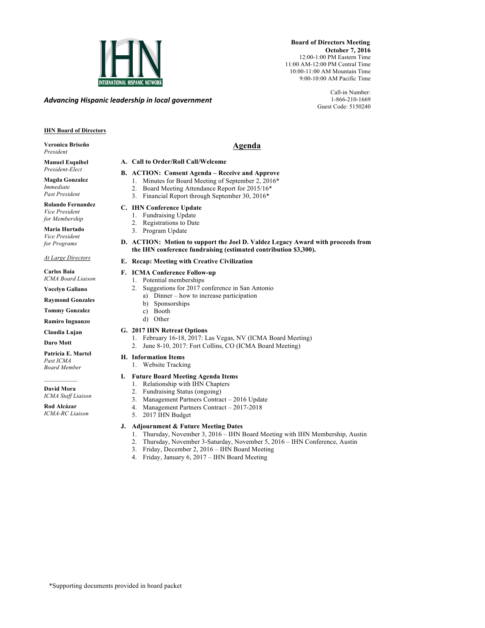

*Advancing)Hispanic)leadership)in)local)government*

 **Board of Directors Meeting October 7, 2016** 12:00-1:00 PM Eastern Time 11:00 AM-12:00 PM Central Time 10:00-11:00 AM Mountain Time 9:00-10:00 AM Pacific Time

> Call-in Number: 1-866-210-1669 Guest Code: 5150240

### **IHN Board of Directors**

**Veronica Briseño** *President*

#### **Manuel Esquibel** *President-Elect*

**Magda Gonzalez** *Immediate Past President*

**Rolando Fernandez** *Vice President for Membership*

**Maria Hurtado** *Vice President for Programs*

#### *At Large Directors*

**Carlos Baia** *ICMA Board Liaison*

**Yocelyn Galiano** 

**Raymond Gonzales**

**Tommy Gonzalez**

**Ramiro Inguanzo**

**Claudia Lujan Daro Mott**

**Patricia E. Martel** *Past ICMA*

*Board Member*  $\mathcal{L}=\mathcal{L}^{\mathcal{L}}$ **David Mora** *ICMA Staff Liaison*

**Rod Alcázar** *ICMA-RC Liaison*

# **H. Information Items**

# 1. Website Tracking

## **I. Future Board Meeting Agenda Items**

- 1. Relationship with IHN Chapters
- 2. Fundraising Status (ongoing)
	- 3. Management Partners Contract 2016 Update
	- 4. Management Partners Contract 2017-2018
	- 5. 2017 IHN Budget

#### **J. Adjournment & Future Meeting Dates**

- 1. Thursday, November 3, 2016 IHN Board Meeting with IHN Membership, Austin
- 2. Thursday, November 3-Saturday, November 5, 2016 IHN Conference, Austin
- 3. Friday, December 2, 2016 IHN Board Meeting
- 4. Friday, January 6, 2017 IHN Board Meeting

# **Agenda**

#### **A. Call to Order/Roll Call/Welcome**

- **B. ACTION: Consent Agenda – Receive and Approve**
- 1. Minutes for Board Meeting of September 2, 2016\*
	- 2. Board Meeting Attendance Report for 2015/16\*
	- 3. Financial Report through September 30, 2016\*

## **C. IHN Conference Update**

- 1. Fundraising Update
- 2. Registrations to Date
- 3. Program Update
- **D. ACTION: Motion to support the Joel D. Valdez Legacy Award with proceeds from the IHN conference fundraising (estimated contribution \$3,300).**

### **E. Recap: Meeting with Creative Civilization**

- **F. ICMA Conference Follow-up**
	- 1. Potential memberships
	- 2. Suggestions for 2017 conference in San Antonio
		- a) Dinner how to increase participation b) Sponsorships
		- c) Booth
		- d) Other
- **G. 2017 IHN Retreat Options**
	- 1. February 16-18, 2017: Las Vegas, NV (ICMA Board Meeting)
	- 2. June 8-10, 2017: Fort Collins, CO (ICMA Board Meeting)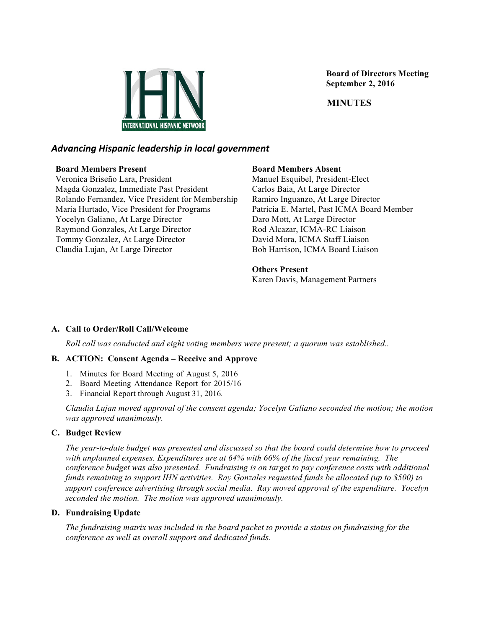

 **Board of Directors Meeting September 2, 2016**

 **MINUTES**

## *Advancing)Hispanic)leadership)in)local)government*

#### **Board Members Present**

Veronica Briseño Lara, President Magda Gonzalez, Immediate Past President Rolando Fernandez, Vice President for Membership Maria Hurtado, Vice President for Programs Yocelyn Galiano, At Large Director Raymond Gonzales, At Large Director Tommy Gonzalez, At Large Director Claudia Lujan, At Large Director

#### **Board Members Absent**

Manuel Esquibel, President-Elect Carlos Baia, At Large Director Ramiro Inguanzo, At Large Director Patricia E. Martel, Past ICMA Board Member Daro Mott, At Large Director Rod Alcazar, ICMA-RC Liaison David Mora, ICMA Staff Liaison Bob Harrison, ICMA Board Liaison

#### **Others Present**

Karen Davis, Management Partners

#### **A. Call to Order/Roll Call/Welcome**

*Roll call was conducted and eight voting members were present; a quorum was established..*

#### **B. ACTION: Consent Agenda – Receive and Approve**

- 1. Minutes for Board Meeting of August 5, 2016
- 2. Board Meeting Attendance Report for 2015/16
- 3. Financial Report through August 31, 2016*.*

*Claudia Lujan moved approval of the consent agenda; Yocelyn Galiano seconded the motion; the motion was approved unanimously.*

#### **C. Budget Review**

*The year-to-date budget was presented and discussed so that the board could determine how to proceed with unplanned expenses. Expenditures are at 64% with 66% of the fiscal year remaining. The conference budget was also presented. Fundraising is on target to pay conference costs with additional funds remaining to support IHN activities. Ray Gonzales requested funds be allocated (up to \$500) to support conference advertising through social media. Ray moved approval of the expenditure. Yocelyn seconded the motion. The motion was approved unanimously.*

#### **D. Fundraising Update**

*The fundraising matrix was included in the board packet to provide a status on fundraising for the conference as well as overall support and dedicated funds.*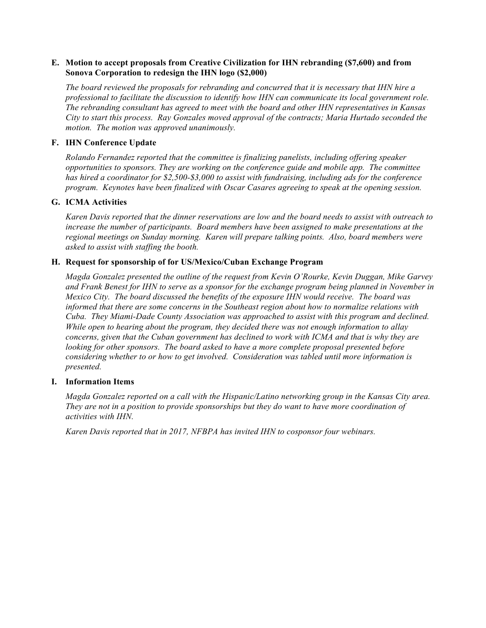#### **E. Motion to accept proposals from Creative Civilization for IHN rebranding (\$7,600) and from Sonova Corporation to redesign the IHN logo (\$2,000)**

*The board reviewed the proposals for rebranding and concurred that it is necessary that IHN hire a professional to facilitate the discussion to identify how IHN can communicate its local government role. The rebranding consultant has agreed to meet with the board and other IHN representatives in Kansas City to start this process. Ray Gonzales moved approval of the contracts; Maria Hurtado seconded the motion. The motion was approved unanimously.*

#### **F. IHN Conference Update**

*Rolando Fernandez reported that the committee is finalizing panelists, including offering speaker opportunities to sponsors. They are working on the conference guide and mobile app. The committee has hired a coordinator for \$2,500-\$3,000 to assist with fundraising, including ads for the conference program. Keynotes have been finalized with Oscar Casares agreeing to speak at the opening session.*

#### **G. ICMA Activities**

*Karen Davis reported that the dinner reservations are low and the board needs to assist with outreach to increase the number of participants. Board members have been assigned to make presentations at the regional meetings on Sunday morning. Karen will prepare talking points. Also, board members were asked to assist with staffing the booth.*

#### **H. Request for sponsorship of for US/Mexico/Cuban Exchange Program**

*Magda Gonzalez presented the outline of the request from Kevin O'Rourke, Kevin Duggan, Mike Garvey and Frank Benest for IHN to serve as a sponsor for the exchange program being planned in November in Mexico City. The board discussed the benefits of the exposure IHN would receive. The board was informed that there are some concerns in the Southeast region about how to normalize relations with Cuba. They Miami-Dade County Association was approached to assist with this program and declined. While open to hearing about the program, they decided there was not enough information to allay concerns, given that the Cuban government has declined to work with ICMA and that is why they are looking for other sponsors. The board asked to have a more complete proposal presented before considering whether to or how to get involved. Consideration was tabled until more information is presented.*

#### **I. Information Items**

*Magda Gonzalez reported on a call with the Hispanic/Latino networking group in the Kansas City area. They are not in a position to provide sponsorships but they do want to have more coordination of activities with IHN.* 

*Karen Davis reported that in 2017, NFBPA has invited IHN to cosponsor four webinars.*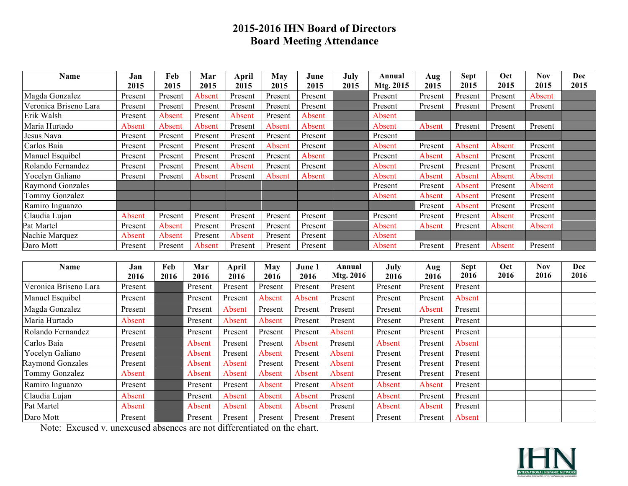# **2015-2016 IHN Board of Directors Board Meeting Attendance**

| Name                    | Jan     | Feb     | Mar     | April   | May     | June    | July | Annual    | Aug     | <b>Sept</b> | Oct     | Nov     | Dec  |
|-------------------------|---------|---------|---------|---------|---------|---------|------|-----------|---------|-------------|---------|---------|------|
|                         | 2015    | 2015    | 2015    | 2015    | 2015    | 2015    | 2015 | Mtg. 2015 | 2015    | 2015        | 2015    | 2015    | 2015 |
| Magda Gonzalez          | Present | Present | Absent  | Present | Present | Present |      | Present   | Present | Present     | Present | Absent  |      |
| Veronica Briseno Lara   | Present | Present | Present | Present | Present | Present |      | Present   | Present | Present     | Present | Present |      |
| Erik Walsh              | Present | Absent  | Present | Absent  | Present | Absent  |      | Absent    |         |             |         |         |      |
| Maria Hurtado           | Absent  | Absent  | Absent  | Present | Absent  | Absent  |      | Absent    | Absent  | Present     | Present | Present |      |
| Jesus Nava              | Present | Present | Present | Present | Present | Present |      | Present   |         |             |         |         |      |
| Carlos Baia             | Present | Present | Present | Present | Absent  | Present |      | Absent    | Present | Absent      | Absent  | Present |      |
| Manuel Esquibel         | Present | Present | Present | Present | Present | Absent  |      | Present   | Absent  | Absent      | Present | Present |      |
| Rolando Fernandez       | Present | Present | Present | Absent  | Present | Present |      | Absent    | Present | Present     | Present | Present |      |
| Yocelyn Galiano         | Present | Present | Absent  | Present | Absent  | Absent  |      | Absent    | Absent  | Absent      | Absent  | Absent  |      |
| <b>Raymond Gonzales</b> |         |         |         |         |         |         |      | Present   | Present | Absent      | Present | Absent  |      |
| Tommy Gonzalez          |         |         |         |         |         |         |      | Absent    | Absent  | Absent      | Present | Present |      |
| Ramiro Inguanzo         |         |         |         |         |         |         |      |           | Present | Absent      | Present | Present |      |
| Claudia Lujan           | Absent  | Present | Present | Present | Present | Present |      | Present   | Present | Present     | Absent  | Present |      |
| Pat Martel              | Present | Absent  | Present | Present | Present | Present |      | Absent    | Absent  | Present     | Absent  | Absent  |      |
| Nachie Marquez          | Absent  | Absent  | Present | Absent  | Present | Present |      | Absent    |         |             |         |         |      |
| Daro Mott               | Present | Present | Absent  | Present | Present | Present |      | Absent    | Present | Present     | Absent  | Present |      |

| <b>Name</b>           | Jan     | Feb  | Mar     | April   | Mav     | June 1  | Annual    | July    | Aug     | <b>Sept</b> | Oct  | <b>Nov</b> | <b>Dec</b> |
|-----------------------|---------|------|---------|---------|---------|---------|-----------|---------|---------|-------------|------|------------|------------|
|                       | 2016    | 2016 | 2016    | 2016    | 2016    | 2016    | Mtg. 2016 | 2016    | 2016    | 2016        | 2016 | 2016       | 2016       |
| Veronica Briseno Lara | Present |      | Present | Present | Present | Present | Present   | Present | Present | Present     |      |            |            |
| Manuel Esquibel       | Present |      | Present | Present | Absent  | Absent  | Present   | Present | Present | Absent      |      |            |            |
| Magda Gonzalez        | Present |      | Present | Absent  | Present | Present | Present   | Present | Absent  | Present     |      |            |            |
| Maria Hurtado         | Absent  |      | Present | Absent  | Absent  | Present | Present   | Present | Present | Present     |      |            |            |
| Rolando Fernandez     | Present |      | Present | Present | Present | Present | Absent    | Present | Present | Present     |      |            |            |
| Carlos Baia           | Present |      | Absent  | Present | Present | Absent  | Present   | Absent  | Present | Absent      |      |            |            |
| Yocelyn Galiano       | Present |      | Absent  | Present | Absent  | Present | Absent    | Present | Present | Present     |      |            |            |
| Raymond Gonzales      | Present |      | Absent  | Absent  | Present | Present | Absent    | Present | Present | Present     |      |            |            |
| Tommy Gonzalez        | Absent  |      | Absent  | Absent  | Absent  | Absent  | Absent    | Present | Present | Present     |      |            |            |
| Ramiro Inguanzo       | Present |      | Present | Present | Absent  | Present | Absent    | Absent  | Absent  | Present     |      |            |            |
| Claudia Lujan         | Absent  |      | Present | Absent  | Absent  | Absent  | Present   | Absent  | Present | Present     |      |            |            |
| Pat Martel            | Absent  |      | Absent  | Absent  | Absent  | Absent  | Present   | Absent  | Absent  | Present     |      |            |            |
| Daro Mott             | Present |      | Present | Present | Present | Present | Present   | Present | Present | Absent      |      |            |            |

Note: Excused v. unexcused absences are not differentiated on the chart.

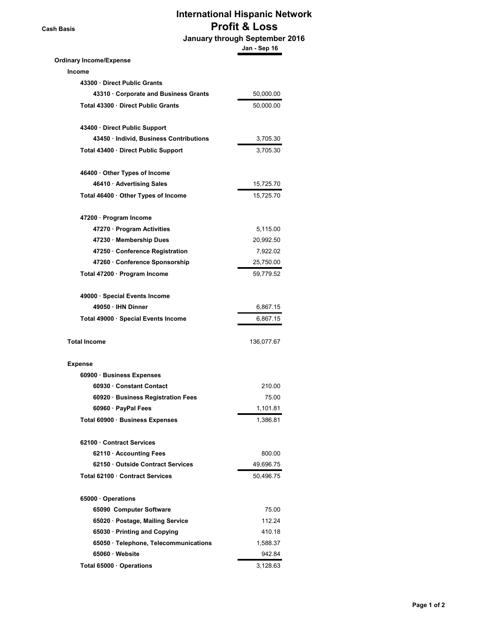**Cash Basis**

# **International Hispanic Network Profit & Loss**

 **January through September 2016**

|                                         | Jan - Sep 16 |
|-----------------------------------------|--------------|
| <b>Ordinary Income/Expense</b>          |              |
| <b>Income</b>                           |              |
| 43300 Direct Public Grants              |              |
| 43310 Corporate and Business Grants     | 50,000.00    |
| Total 43300 · Direct Public Grants      | 50,000.00    |
| 43400 Direct Public Support             |              |
| 43450 · Individ, Business Contributions | 3,705.30     |
| Total 43400 · Direct Public Support     | 3,705.30     |
| 46400 Other Types of Income             |              |
| 46410 · Advertising Sales               | 15,725.70    |
| Total 46400 · Other Types of Income     | 15,725.70    |
| 47200 · Program Income                  |              |
| 47270 · Program Activities              | 5,115.00     |
| 47230 · Membership Dues                 | 20,992.50    |
| 47250 Conference Registration           | 7,922.02     |
| 47260 · Conference Sponsorship          | 25,750.00    |
| Total 47200 · Program Income            | 59,779.52    |
| 49000 · Special Events Income           |              |
| 49050 · IHN Dinner                      | 6,867.15     |
| Total 49000 · Special Events Income     | 6,867.15     |
| <b>Total Income</b>                     | 136,077.67   |
| <b>Expense</b>                          |              |
| 60900 · Business Expenses               |              |
| 60930 Constant Contact                  | 210.00       |
| 60920 · Business Registration Fees      | 75.00        |
| 60960 · PayPal Fees                     | 1,101.81     |
| Total 60900 · Business Expenses         | 1,386.81     |
| 62100 Contract Services                 |              |
| 62110 · Accounting Fees                 | 800.00       |
| 62150 Outside Contract Services         | 49,696.75    |
| Total 62100 · Contract Services         | 50,496.75    |
| 65000 Operations                        |              |
| 65090 Computer Software                 | 75.00        |
| 65020 · Postage, Mailing Service        | 112.24       |
| 65030 · Printing and Copying            | 410.18       |
| 65050 · Telephone, Telecommunications   | 1,588.37     |
| 65060 · Website                         | 942.84       |
| Total 65000 · Operations                | 3,128.63     |